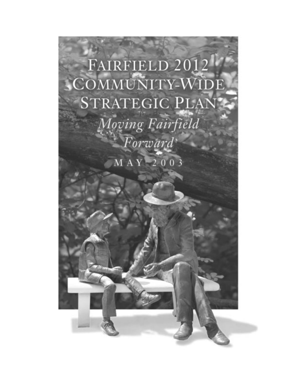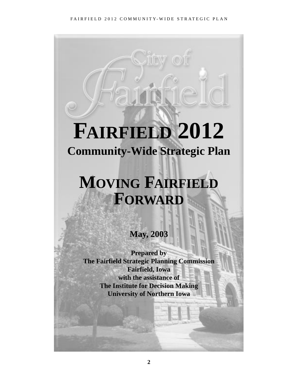# **FAIRFIELD 2012 Community-Wide Strategic Plan**

# **MOVING FAIRFIELD FORWARD**

**May, 2003**

**Prepared by The Fairfield Strategic Planning Commission Fairfield, Iowa with the assistance of The Institute for Decision Making University of Northern Iowa**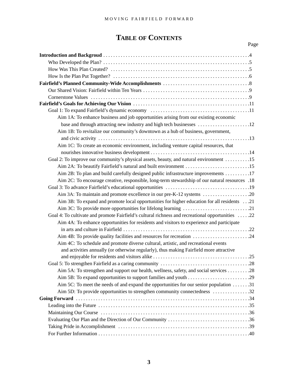# **TABLE OF CONTENTS**

Page

| Aim 1A: To enhance business and job opportunities arising from our existing economic              |
|---------------------------------------------------------------------------------------------------|
|                                                                                                   |
| Aim 1B: To revitalize our community's downtown as a hub of business, government,                  |
|                                                                                                   |
| Aim 1C: To create an economic environment, including venture capital resources, that              |
|                                                                                                   |
| Goal 2: To improve our community's physical assets, beauty, and natural environment 15            |
|                                                                                                   |
| Aim 2B: To plan and build carefully designed public infrastructure improvements 17                |
| Aim 2C: To encourage creative, responsible, long-term stewardship of our natural resources .18    |
|                                                                                                   |
|                                                                                                   |
| Aim 3B: To expand and promote local opportunities for higher education for all residents21        |
| Aim 3C: To provide more opportunities for lifelong learning 21                                    |
| Goal 4: To cultivate and promote Fairfield's cultural richness and recreational opportunities  22 |
| Aim 4A: To enhance opportunities for residents and visitors to experience and participate         |
|                                                                                                   |
|                                                                                                   |
| Aim 4C: To schedule and promote diverse cultural, artistic, and recreational events               |
| and activities annually (or otherwise regularly), thus making Fairfield more attractive           |
|                                                                                                   |
|                                                                                                   |
| Aim 5A: To strengthen and support our health, wellness, safety, and social services 28            |
|                                                                                                   |
| Aim 5C: To meet the needs of and expand the opportunities for our senior population 31            |
| Aim 5D: To provide opportunities to strengthen community connectedness 32                         |
|                                                                                                   |
|                                                                                                   |
|                                                                                                   |
|                                                                                                   |
|                                                                                                   |
|                                                                                                   |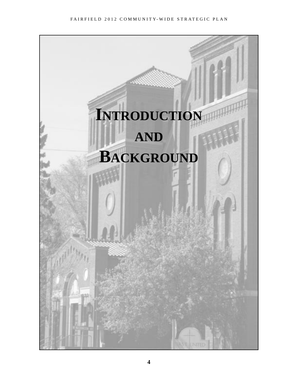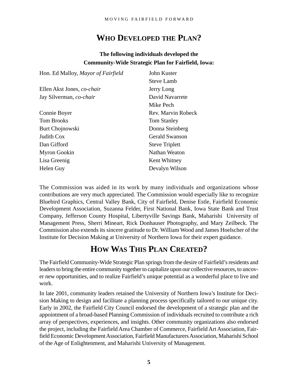# **WHO DEVELOPED THE PLAN?**

## **The following individuals developed the Community-Wide Strategic Plan for Fairfield, Iowa:**

| Hon. Ed Malloy, Mayor of Fairfield | John Kuster           |
|------------------------------------|-----------------------|
|                                    | <b>Steve Lamb</b>     |
| Ellen Akst Jones, co-chair         | Jerry Long            |
| Jay Silverman, co-chair            | David Navarrete       |
|                                    | Mike Pech             |
| Connie Boyer                       | Rev. Marvin Robeck    |
| <b>Tom Brooks</b>                  | <b>Tom Stanley</b>    |
| Burt Chojnowski                    | Donna Steinberg       |
| Judith Cox                         | <b>Gerald Swanson</b> |
| Dan Gifford                        | <b>Steve Triplett</b> |
| Myron Gookin                       | Nathan Weaton         |
| Lisa Greenig                       | Kent Whitney          |
| Helen Guy                          | Devalyn Wilson        |

The Commission was aided in its work by many individuals and organizations whose contributions are very much appreciated. The Commission would especially like to recognize Bluebird Graphics, Central Valley Bank, City of Fairfield, Denise Estle, Fairfield Economic Development Association, Suzanna Felder, First National Bank, Iowa State Bank and Trust Company, Jefferson County Hospital, Libertyville Savings Bank, Maharishi University of Management Press, Sherri Mineart, Rick Donhauser Photography, and Mary Zeilbeck. The Commission also extends its sincere gratitude to Dr. William Wood and James Hoelscher of the Institute for Decision Making at University of Northern Iowa for their expert guidance.

# **HOW WAS THIS PLAN CREATED?**

The Fairfield Community-Wide Strategic Plan springs from the desire of Fairfield's residents and leaders to bring the entire community together to capitalize upon our collective resources, to uncover new opportunities, and to realize Fairfield's unique potential as a wonderful place to live and work.

In late 2001, community leaders retained the University of Northern Iowa's Institute for Decision Making to design and facilitate a planning process specifically tailored to our unique city. Early in 2002, the Fairfield City Council endorsed the development of a strategic plan and the appointment of a broad-based Planning Commission of individuals recruited to contribute a rich array of perspectives, experiences, and insights. Other community organizations also endorsed the project, including the Fairfield Area Chamber of Commerce, Fairfield Art Association, Fairfield Economic Development Association, Fairfield Manufacturers Association, Maharishi School of the Age of Enlightenment, and Maharishi University of Management.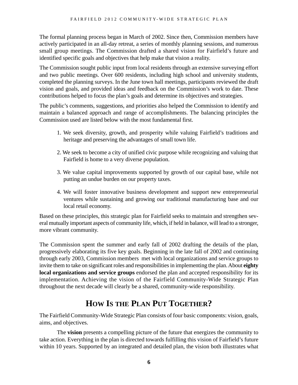The formal planning process began in March of 2002. Since then, Commission members have actively participated in an all-day retreat, a series of monthly planning sessions, and numerous small group meetings. The Commission drafted a shared vision for Fairfield's future and identified specific goals and objectives that help make that vision a reality.

The Commission sought public input from local residents through an extensive surveying effort and two public meetings. Over 600 residents, including high school and university students, completed the planning surveys. In the June town hall meetings, participants reviewed the draft vision and goals, and provided ideas and feedback on the Commission's work to date. These contributions helped to focus the plan's goals and determine its objectives and strategies.

The public's comments, suggestions, and priorities also helped the Commission to identify and maintain a balanced approach and range of accomplishments. The balancing principles the Commission used are listed below with the most fundamental first.

- 1. We seek diversity, growth, and prosperity while valuing Fairfield's traditions and heritage and preserving the advantages of small town life.
- 2. We seek to become a city of unified civic purpose while recognizing and valuing that Fairfield is home to a very diverse population.
- 3. We value capital improvements supported by growth of our capital base, while not putting an undue burden on our property taxes.
- 4. We will foster innovative business development and support new entrepreneurial ventures while sustaining and growing our traditional manufacturing base and our local retail economy.

Based on these principles, this strategic plan for Fairfield seeks to maintain and strengthen several mutually important aspects of community life, which, if held in balance, will lead to a stronger, more vibrant community.

The Commission spent the summer and early fall of 2002 drafting the details of the plan, progressively elaborating its five key goals. Beginning in the late fall of 2002 and continuing through early 2003, Commission members met with local organizations and service groups to invite them to take on significant roles and responsibilities in implementing the plan. About **eighty local organizations and service groups** endorsed the plan and accepted responsibility for its implementation. Achieving the vision of the Fairfield Community-Wide Strategic Plan throughout the next decade will clearly be a shared, community-wide responsibility.

# **HOW IS THE PLAN PUT TOGETHER?**

The Fairfield Community-Wide Strategic Plan consists of four basic components: vision, goals, aims, and objectives.

The **vision** presents a compelling picture of the future that energizes the community to take action. Everything in the plan is directed towards fulfilling this vision of Fairfield's future within 10 years. Supported by an integrated and detailed plan, the vision both illustrates what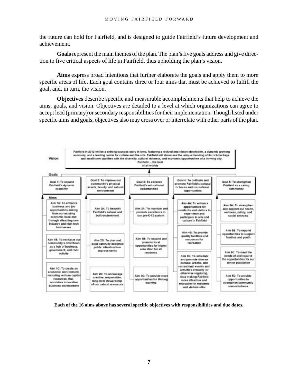the future can hold for Fairfield, and is designed to guide Fairfield's future development and achievement.

Goals represent the main themes of the plan. The plan's five goals address and give direction to five critical aspects of life in Fairfield, thus upholding the plan's vision.

**Aims** express broad intentions that further elaborate the goals and apply them to more specific areas of life. Each goal contains three or four aims that must be achieved to fulfill the goal, and, in turn, the vision.

**Objectives** describe specific and measurable accomplishments that help to achieve the aims, goals, and vision. Objectives are detailed to a level at which organizations can agree to accept lead (primary) or secondary responsibilities for their implementation. Though listed under specific aims and goals, objectives also may cross over or interrelate with other parts of the plan.



**Each of the 16 aims above has several specific objectives with responsibilities and due dates.**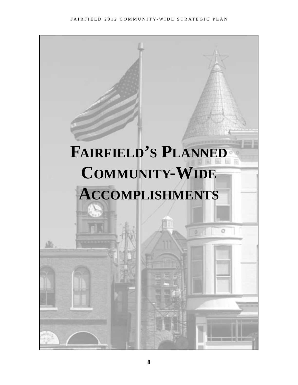# **FAIRFIELD'S PLANNED COMMUNITY-WIDE ACCOMPLISHMENTS**

O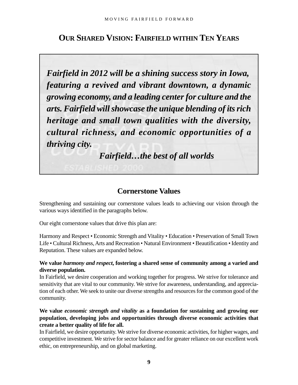# **OUR SHARED VISION: FAIRFIELD WITHIN TEN YEARS**

*Fairfield in 2012 will be a shining success story in Iowa, featuring a revived and vibrant downtown, a dynamic growing economy, and a leading center for culture and the arts. Fairfield will showcase the unique blending of its rich heritage and small town qualities with the diversity, cultural richness, and economic opportunities of a thriving city.*

*Fairfield…the best of all worlds*

# **Cornerstone Values**

Strengthening and sustaining our cornerstone values leads to achieving our vision through the various ways identified in the paragraphs below.

Our eight cornerstone values that drive this plan are:

Harmony and Respect • Economic Strength and Vitality • Education • Preservation of Small Town Life • Cultural Richness, Arts and Recreation • Natural Environment • Beautification • Identity and Reputation. These values are expanded below.

### **We value** *harmony and respect***, fostering a shared sense of community among a varied and diverse population.**

In Fairfield, we desire cooperation and working together for progress. We strive for tolerance and sensitivity that are vital to our community. We strive for awareness, understanding, and appreciation of each other. We seek to unite our diverse strengths and resources for the common good of the community.

**We value** *economic strength and vitality* **as a foundation for sustaining and growing our population, developing jobs and opportunities through diverse economic activities that create a better quality of life for all.**

In Fairfield, we desire opportunity. We strive for diverse economic activities, for higher wages, and competitive investment. We strive for sector balance and for greater reliance on our excellent work ethic, on entrepreneurship, and on global marketing.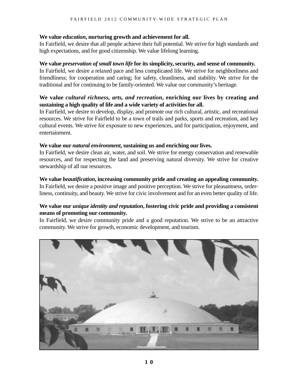#### FAIRFIELD 2012 COMMUNITY-WIDE STRATEGIC PLAN

#### **We value** *education***, nurturing growth and achievement for all.**

In Fairfield, we desire that all people achieve their full potential. We strive for high standards and high expectations, and for good citizenship. We value lifelong learning.

#### **We value** *preservation of small town life* **for its simplicity, security, and sense of community.**

In Fairfield, we desire a relaxed pace and less complicated life. We strive for neighborliness and friendliness; for cooperation and caring; for safety, cleanliness, and stability. We strive for the traditional and for continuing to be family-oriented. We value our community's heritage.

### **We value** *cultural richness, arts, and recreation***, enriching our lives by creating and sustaining a high quality of life and a wide variety of activities for all.**

In Fairfield, we desire to develop, display, and promote our rich cultural, artistic, and recreational resources. We strive for Fairfield to be a town of trails and parks, sports and recreation, and key cultural events. We strive for exposure to new experiences, and for participation, enjoyment, and entertainment.

#### **We value our** *natural environment***, sustaining us and enriching our lives.**

In Fairfield, we desire clean air, water, and soil. We strive for energy conservation and renewable resources, and for respecting the land and preserving natural diversity. We strive for creative stewardship of all our resources.

#### **We value** *beautification***, increasing community pride and creating an appealing community.**

In Fairfield, we desire a positive image and positive perception. We strive for pleasantness, orderliness, continuity, and beauty. We strive for civic involvement and for an even better quality of life.

### **We value our** *unique identity and reputation***, fostering civic pride and providing a consistent means of promoting our community.**

In Fairfield, we desire community pride and a good reputation. We strive to be an attractive community. We strive for growth, economic development, and tourism.

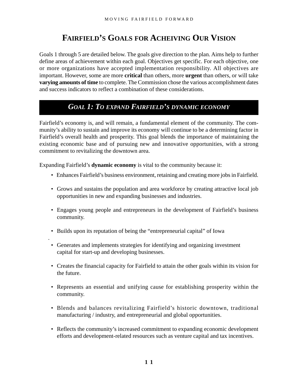# **FAIRFIELD'S GOALS FOR ACHEIVING OUR VISION**

Goals 1 through 5 are detailed below. The goals give direction to the plan. Aims help to further define areas of achievement within each goal. Objectives get specific. For each objective, one or more organizations have accepted implementation responsibility. All objectives are important. However, some are more **critical** than others, more **urgent** than others, or will take **varying amounts of time** to complete. The Commission chose the various accomplishment dates and success indicators to reflect a combination of these considerations.

# *GOAL 1: TO EXPAND FAIRFIELD'S DYNAMIC ECONOMY*

Fairfield's economy is, and will remain, a fundamental element of the community. The community's ability to sustain and improve its economy will continue to be a determining factor in Fairfield's overall health and prosperity. This goal blends the importance of maintaining the existing economic base and of pursuing new and innovative opportunities, with a strong commitment to revitalizing the downtown area.

Expanding Fairfield's **dynamic economy** is vital to the community because it:

- Enhances Fairfield's business environment, retaining and creating more jobs in Fairfield.
- Grows and sustains the population and area workforce by creating attractive local job opportunities in new and expanding businesses and industries.
- Engages young people and entrepreneurs in the development of Fairfield's business community.
- Builds upon its reputation of being the "entrepreneurial capital" of Iowa

.

- Generates and implements strategies for identifying and organizing investment capital for start-up and developing businesses.
- Creates the financial capacity for Fairfield to attain the other goals within its vision for the future.
- Represents an essential and unifying cause for establishing prosperity within the community.
- Blends and balances revitalizing Fairfield's historic downtown, traditional manufacturing / industry, and entrepreneurial and global opportunities.
- Reflects the community's increased commitment to expanding economic development efforts and development-related resources such as venture capital and tax incentives.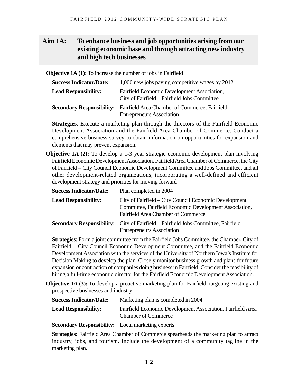# **Aim 1A: To enhance business and job opportunities arising from our existing economic base and through attracting new industry and high tech businesses**

**Objective 1A (1):** To increase the number of jobs in Fairfield

| <b>Success Indicator/Date:</b> | 1,000 new jobs paying competitive wages by 2012                                                                    |
|--------------------------------|--------------------------------------------------------------------------------------------------------------------|
| <b>Lead Responsibility:</b>    | Fairfield Economic Development Association,<br>City of Fairfield – Fairfield Jobs Committee                        |
|                                | <b>Secondary Responsibility:</b> Fairfield Area Chamber of Commerce, Fairfield<br><b>Entrepreneurs Association</b> |

**Strategies**: Execute a marketing plan through the directors of the Fairfield Economic Development Association and the Fairfield Area Chamber of Commerce. Conduct a comprehensive business survey to obtain information on opportunities for expansion and elements that may prevent expansion.

**Objective 1A (2):** To develop a 1-3 year strategic economic development plan involving Fairfield Economic Development Association, Fairfield Area Chamber of Commerce, the City of Fairfield – City Council Economic Development Committee and Jobs Committee, and all other development-related organizations, incorporating a well-defined and efficient development strategy and priorities for moving forward

| <b>Success Indicator/Date:</b>   | Plan completed in 2004                                                                                                                                       |
|----------------------------------|--------------------------------------------------------------------------------------------------------------------------------------------------------------|
| <b>Lead Responsibility:</b>      | City of Fairfield – City Council Economic Development<br>Committee, Fairfield Economic Development Association,<br><b>Fairfield Area Chamber of Commerce</b> |
| <b>Secondary Responsibility:</b> | City of Fairfield – Fairfield Jobs Committee, Fairfield<br><b>Entrepreneurs Association</b>                                                                  |

**Strategies**: Form a joint committee from the Fairfield Jobs Committee, the Chamber, City of Fairfield – City Council Economic Development Committee, and the Fairfield Economic Development Association with the services of the University of Northern Iowa's Institute for Decision Making to develop the plan. Closely monitor business growth and plans for future expansion or contraction of companies doing business in Fairfield. Consider the feasibility of hiring a full-time economic director for the Fairfield Economic Development Association.

**Objective 1A (3):** To develop a proactive marketing plan for Fairfield, targeting existing and prospective businesses and industry

| <b>Success Indicator/Date:</b> | Marketing plan is completed in 2004                                                      |
|--------------------------------|------------------------------------------------------------------------------------------|
| <b>Lead Responsibility:</b>    | Fairfield Economic Development Association, Fairfield Area<br><b>Chamber of Commerce</b> |

**Secondary Responsibility:** Local marketing experts

**Strategies:** Fairfield Area Chamber of Commerce spearheads the marketing plan to attract industry, jobs, and tourism. Include the development of a community tagline in the marketing plan.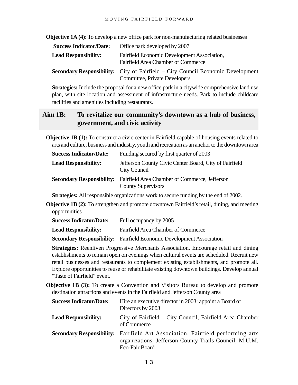**Objective 1A (4):** To develop a new office park for non-manufacturing related businesses

| <b>Success Indicator/Date:</b> | Office park developed by 2007                                                                                           |
|--------------------------------|-------------------------------------------------------------------------------------------------------------------------|
| <b>Lead Responsibility:</b>    | Fairfield Economic Development Association,<br><b>Fairfield Area Chamber of Commerce</b>                                |
|                                | <b>Secondary Responsibility:</b> City of Fairfield – City Council Economic Development<br>Committee, Private Developers |

**Strategies:** Include the proposal for a new office park in a citywide comprehensive land use plan, with site location and assessment of infrastructure needs. Park to include childcare facilities and amenities including restaurants.

## **Aim 1B: To revitalize our community's downtown as a hub of business, government, and civic activity**

**Objective 1B (1):** To construct a civic center in Fairfield capable of housing events related to arts and culture, business and industry, youth and recreation as an anchor to the downtown area

| <b>Success Indicator/Date:</b> | Funding secured by first quarter of 2003                                                                    |
|--------------------------------|-------------------------------------------------------------------------------------------------------------|
| <b>Lead Responsibility:</b>    | Jefferson County Civic Center Board, City of Fairfield<br>City Council                                      |
|                                | <b>Secondary Responsibility:</b> Fairfield Area Chamber of Commerce, Jefferson<br><b>County Supervisors</b> |

**Strategies:** All responsible organizations work to secure funding by the end of 2002.

**Objective 1B (2):** To strengthen and promote downtown Fairfield's retail, dining, and meeting opportunities

| <b>Success Indicator/Date:</b> | Full occupancy by 2005                                                      |
|--------------------------------|-----------------------------------------------------------------------------|
| <b>Lead Responsibility:</b>    | <b>Fairfield Area Chamber of Commerce</b>                                   |
|                                | <b>Secondary Responsibility:</b> Fairfield Economic Development Association |

**Strategies:** Reenliven Progressive Merchants Association. Encourage retail and dining establishments to remain open on evenings when cultural events are scheduled. Recruit new retail businesses and restaurants to complement existing establishments, and promote all. Explore opportunities to reuse or rehabilitate existing downtown buildings. Develop annual

- "Taste of Fairfield" event.
- **Objective 1B (3):** To create a Convention and Visitors Bureau to develop and promote destination attractions and events in the Fairfield and Jefferson County area

| <b>Success Indicator/Date:</b>   | Hire an executive director in 2003; appoint a Board of<br>Directors by 2003                                                      |
|----------------------------------|----------------------------------------------------------------------------------------------------------------------------------|
| <b>Lead Responsibility:</b>      | City of Fairfield – City Council, Fairfield Area Chamber<br>of Commerce                                                          |
| <b>Secondary Responsibility:</b> | Fairfield Art Association, Fairfield performing arts<br>organizations, Jefferson County Trails Council, M.U.M.<br>Eco-Fair Board |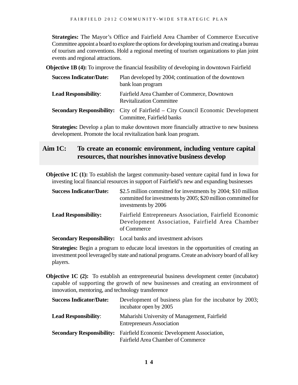**Strategies:** The Mayor's Office and Fairfield Area Chamber of Commerce Executive Committee appoint a board to explore the options for developing tourism and creating a bureau of tourism and conventions. Hold a regional meeting of tourism organizations to plan joint events and regional attractions.

**Objective 1B (4):** To improve the financial feasibility of developing in downtown Fairfield

| <b>Success Indicator/Date:</b> | Plan developed by 2004; continuation of the downtown<br>bank loan program                                            |
|--------------------------------|----------------------------------------------------------------------------------------------------------------------|
| <b>Lead Responsibility:</b>    | Fairfield Area Chamber of Commerce, Downtown<br><b>Revitalization Committee</b>                                      |
|                                | <b>Secondary Responsibility:</b> City of Fairfield – City Council Economic Development<br>Committee, Fairfield banks |

**Strategies:** Develop a plan to make downtown more financially attractive to new business development. Promote the local revitalization bank loan program.

# **Aim 1C: To create an economic environment, including venture capital resources, that nourishes innovative business develop**

**Objective 1C (1):** To establish the largest community-based venture capital fund in Iowa for investing local financial resources in support of Fairfield's new and expanding businesses

| <b>Success Indicator/Date:</b> | \$2.5 million committed for investments by 2004; \$10 million<br>committed for investments by 2005; \$20 million committed for<br>investments by 2006 |
|--------------------------------|-------------------------------------------------------------------------------------------------------------------------------------------------------|
| <b>Lead Responsibility:</b>    | Fairfield Entrepreneurs Association, Fairfield Economic<br>Development Association, Fairfield Area Chamber<br>of Commerce                             |
|                                | Connection Desmandbillian. Local health and integrates and advise on                                                                                  |

**Secondary Responsibility:** Local banks and investment advisors

**Strategies:** Begin a program to educate local investors in the opportunities of creating an investment pool leveraged by state and national programs. Create an advisory board of all key players.

**Objective 1C (2):** To establish an entrepreneurial business development center (incubator) capable of supporting the growth of new businesses and creating an environment of innovation, mentoring, and technology transference

| <b>Success Indicator/Date:</b>   | Development of business plan for the incubator by 2003;<br>incubator open by 2005        |
|----------------------------------|------------------------------------------------------------------------------------------|
| <b>Lead Responsibility:</b>      | Maharishi University of Management, Fairfield<br><b>Entrepreneurs Association</b>        |
| <b>Secondary Responsibility:</b> | Fairfield Economic Development Association,<br><b>Fairfield Area Chamber of Commerce</b> |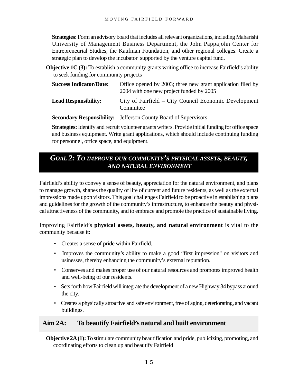**Strategies:** Form an advisory board that includes all relevant organizations, including Maharishi University of Management Business Department, the John Pappajohn Center for Entrepreneurial Studies, the Kaufman Foundation, and other regional colleges. Create a strategic plan to develop the incubator supported by the venture capital fund.

**Objective 1C (3):** To establish a community grants writing office to increase Fairfield's ability to seek funding for community projects

| <b>Success Indicator/Date:</b> | Office opened by 2003; three new grant application filed by<br>2004 with one new project funded by 2005 |
|--------------------------------|---------------------------------------------------------------------------------------------------------|
| <b>Lead Responsibility:</b>    | City of Fairfield – City Council Economic Development<br>Committee                                      |

**Secondary Responsibility:** Jefferson County Board of Supervisors

**Strategies:**Identify and recruit volunteer grants writers. Provide initial funding for office space and business equipment. Write grant applications, which should include continuing funding for personnel, office space, and equipment.

# *GOAL 2: TO IMPROVE OUR COMMUNITY'S PHYSICAL ASSETS, BEAUTY, AND NATURAL ENVIRONMENT*

Fairfield's ability to convey a sense of beauty, appreciation for the natural environment, and plans to manage growth, shapes the quality of life of current and future residents, as well as the external impressions made upon visitors. This goal challenges Fairfield to be proactive in establishing plans and guidelines for the growth of the community's infrastructure, to enhance the beauty and physical attractiveness of the community, and to embrace and promote the practice of sustainable living.

Improving Fairfield's **physical assets, beauty, and natural environment** is vital to the community because it:

- Creates a sense of pride within Fairfield.
- Improves the community's ability to make a good "first impression" on visitors and usinesses, thereby enhancing the community's external reputation.
- Conserves and makes proper use of our natural resources and promotes improved health and well-being of our residents.
- Sets forth how Fairfield will integrate the development of a new Highway 34 bypass around the city.
- Creates a physically attractive and safe environment, free of aging, deteriorating, and vacant buildings.

# **Aim 2A: To beautify Fairfield's natural and built environment**

**Objective 2A(1):** To stimulate community beautification and pride, publicizing, promoting, and coordinating efforts to clean up and beautify Fairfield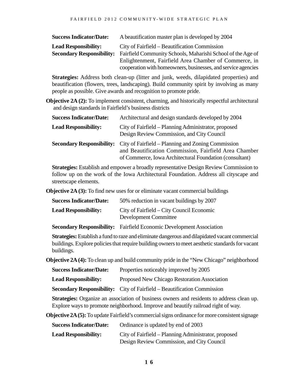| <b>Success Indicator/Date:</b>   | A beautification master plan is developed by 2004             |
|----------------------------------|---------------------------------------------------------------|
| <b>Lead Responsibility:</b>      | City of Fairfield – Beautification Commission                 |
| <b>Secondary Responsibility:</b> | Fairfield Community Schools, Maharishi School of the Age of   |
|                                  | Enlightenment, Fairfield Area Chamber of Commerce, in         |
|                                  | cooperation with homeowners, businesses, and service agencies |

**Strategies:** Address both clean-up (litter and junk, weeds, dilapidated properties) and beautification (flowers, trees, landscaping). Build community spirit by involving as many people as possible. Give awards and recognition to promote pride.

**Objective 2A (2):** To implement consistent, charming, and historically respectful architectural and design standards in Fairfield's business districts

| <b>Success Indicator/Date:</b>   | Architectural and design standards developed by 2004                                                                                                                   |
|----------------------------------|------------------------------------------------------------------------------------------------------------------------------------------------------------------------|
| <b>Lead Responsibility:</b>      | City of Fairfield – Planning Administrator, proposed<br>Design Review Commission, and City Council                                                                     |
| <b>Secondary Responsibility:</b> | City of Fairfield – Planning and Zoning Commission<br>and Beautification Commission, Fairfield Area Chamber<br>of Commerce, Iowa Architectural Foundation (consultant) |

**Strategies:** Establish and empower a broadly representative Design Review Commission to follow up on the work of the Iowa Architectural Foundation. Address all cityscape and streetscape elements.

**Objective 2A (3):** To find new uses for or eliminate vacant commercial buildings

| <b>Success Indicator/Date:</b> | 50% reduction in vacant buildings by 2007                                 |
|--------------------------------|---------------------------------------------------------------------------|
| <b>Lead Responsibility:</b>    | City of Fairfield – City Council Economic<br><b>Development Committee</b> |

**Secondary Responsibility:** Fairfield Economic Development Association

**Strategies:**Establish a fund to raze and eliminate dangerous and dilapidated vacant commercial buildings. Explore policies that require building owners to meet aesthetic standards for vacant buildings.

**Objective 2A (4):** To clean up and build community pride in the "New Chicago" neighborhood

|                                                                                                       | <b>Success Indicator/Date:</b> | Properties noticeably improved by 2005                                                                                                                                         |
|-------------------------------------------------------------------------------------------------------|--------------------------------|--------------------------------------------------------------------------------------------------------------------------------------------------------------------------------|
|                                                                                                       | <b>Lead Responsibility:</b>    | Proposed New Chicago Restoration Association                                                                                                                                   |
|                                                                                                       |                                | <b>Secondary Responsibility:</b> City of Fairfield – Beautification Commission                                                                                                 |
|                                                                                                       |                                | Strategies: Organize an association of business owners and residents to address clean up.<br>Explore ways to promote neighborhood. Improve and beautify railroad right of way. |
| <b>Objective 2A (5):</b> To update Fairfield's commercial signs ordinance for more consistent signage |                                |                                                                                                                                                                                |
|                                                                                                       | <b>Success Indicator/Date:</b> | Ordinance is updated by end of 2003                                                                                                                                            |
|                                                                                                       | <b>Lead Responsibility:</b>    | City of Fairfield - Planning Administrator, proposed                                                                                                                           |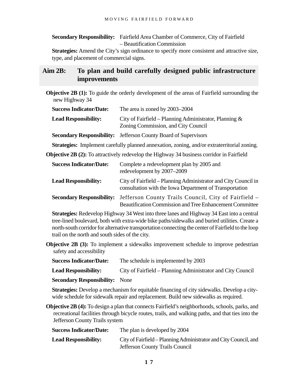**Secondary Responsibility:** Fairfield Area Chamber of Commerce, City of Fairfield – Beautification Commission

**Strategies:** Amend the City's sign ordinance to specify more consistent and attractive size, type, and placement of commercial signs.

# **Aim 2B: To plan and build carefully designed public infrastructure improvements**

**Objective 2B (1):** To guide the orderly development of the areas of Fairfield surrounding the new Highway 34

| <b>Success Indicator/Date:</b> | The area is zoned by 2003–2004                                                                   |
|--------------------------------|--------------------------------------------------------------------------------------------------|
| <b>Lead Responsibility:</b>    | City of Fairfield – Planning Administrator, Planning $\&$<br>Zoning Commission, and City Council |
|                                | <b>Secondary Responsibility:</b> Jefferson County Board of Supervisors                           |

**Strategies:** Implement carefully planned annexation, zoning, and/or extraterritorial zoning.

**Objective 2B (2):** To attractively redevelop the Highway 34 business corridor in Fairfield

| <b>Success Indicator/Date:</b> | Complete a redevelopment plan by 2005 and<br>redevelopment by 2007–2009                                                                           |
|--------------------------------|---------------------------------------------------------------------------------------------------------------------------------------------------|
| <b>Lead Responsibility:</b>    | City of Fairfield – Planning Administrator and City Council in<br>consultation with the Iowa Department of Transportation                         |
|                                | <b>Secondary Responsibility:</b> Jefferson County Trails Council, City of Fairfield –<br>Beautification Commission and Tree Enhancement Committee |

**Strategies:** Redevelop Highway 34 West into three lanes and Highway 34 East into a central tree-lined boulevard, both with extra-wide bike paths/sidewalks and buried utilities. Create a north-south corridor for alternative transportation connecting the center of Fairfield to the loop trail on the north and south sides of the city.

**Objective 2B (3):** To implement a sidewalks improvement schedule to improve pedestrian safety and accessibility

| <b>Success Indicator/Date:</b>        | The schedule is implemented by 2003                         |
|---------------------------------------|-------------------------------------------------------------|
| <b>Lead Responsibility:</b>           | City of Fairfield – Planning Administrator and City Council |
| <b>Secondary Responsibility:</b> None |                                                             |

**Strategies:** Develop a mechanism for equitable financing of city sidewalks. Develop a citywide schedule for sidewalk repair and replacement. Build new sidewalks as required.

**Objective 2B (4):** To design a plan that connects Fairfield's neighborhoods, schools, parks, and recreational facilities through bicycle routes, trails, and walking paths, and that ties into the Jefferson County Trails system

| <b>Success Indicator/Date:</b> | The plan is developed by 2004                                                                       |
|--------------------------------|-----------------------------------------------------------------------------------------------------|
| <b>Lead Responsibility:</b>    | City of Fairfield – Planning Administrator and City Council, and<br>Jefferson County Trails Council |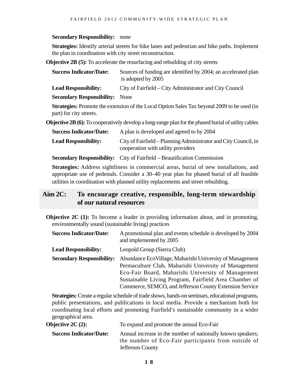#### **Secondary Responsibility:** none

**Strategies:** Identify arterial streets for bike lanes and pedestrian and bike paths. Implement the plan in coordination with city street reconstruction.

**Objective 2B (5):** To accelerate the resurfacing and rebuilding of city streets

| <b>Success Indicator/Date:</b>        | Sources of funding are identified by 2004; an accelerated plan<br>is adopted by 2005 |
|---------------------------------------|--------------------------------------------------------------------------------------|
| <b>Lead Responsibility:</b>           | City of Fairfield – City Administrator and City Council                              |
| <b>Secondary Responsibility:</b> None |                                                                                      |

**Strategies:** Promote the extension of the Local Option Sales Tax beyond 2009 to be used (in part) for city streets.

**Objective 2B (6):**To cooperatively develop a long-range plan for the phased burial of utility cables

| <b>Success Indicator/Date:</b> | A plan is developed and agreed to by 2004                                                             |
|--------------------------------|-------------------------------------------------------------------------------------------------------|
| <b>Lead Responsibility:</b>    | City of Fairfield – Planning Administrator and City Council, in<br>cooperation with utility providers |
|                                |                                                                                                       |

**Secondary Responsibility:** City of Fairfield – Beautification Commission

**Strategies:** Address sightliness in commercial areas, burial of new installations, and appropriate use of pedestals. Consider a 30–40 year plan for phased burial of all feasible utilities in coordination with planned utility replacements and street rebuilding.

## **Aim 2C: To encourage creative, responsible, long-term stewardship of our natural resources**

**Objective 2C (1):** To become a leader in providing information about, and in promoting, environmentally sound (sustainable living) practices

| <b>Success Indicator/Date:</b>   | A promotional plan and events schedule is developed by 2004<br>and implemented by 2005                            |
|----------------------------------|-------------------------------------------------------------------------------------------------------------------|
| <b>Lead Responsibility:</b>      | Leopold Group (Sierra Club)                                                                                       |
| <b>Secondary Responsibility:</b> | Abundance EcoVillage, Maharishi University of Management<br>Permaculture Club, Maharishi University of Management |
|                                  | Eco-Fair Board, Maharishi University of Management                                                                |
|                                  | Sustainable Living Program, Fairfield Area Chamber of                                                             |
|                                  | Commerce, SEMCO, and Jefferson County Extension Service                                                           |

**Strategies:**Create a regular schedule of trade shows, hands-on seminars, educational programs, public presentations, and publications in local media. Provide a mechanism both for coordinating local efforts and promoting Fairfield's sustainable community in a wider geographical area.

| Objective $2C(2)$ :            | To expand and promote the annual Eco-Fair                   |
|--------------------------------|-------------------------------------------------------------|
| <b>Success Indicator/Date:</b> | Annual increase in the number of nationally known speakers; |
|                                | the number of Eco-Fair participants from outside of         |
|                                | Jefferson County                                            |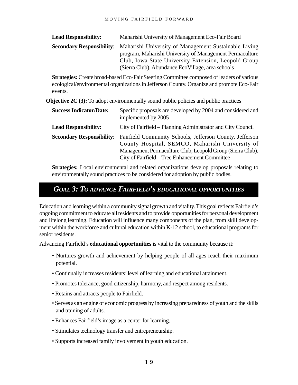| <b>Lead Responsibility:</b> | Maharishi University of Management Eco-Fair Board                                                                                                  |
|-----------------------------|----------------------------------------------------------------------------------------------------------------------------------------------------|
|                             | <b>Secondary Responsibility:</b> Maharishi University of Management Sustainable Living<br>program, Maharishi University of Management Permaculture |
|                             | Club, Iowa State University Extension, Leopold Group<br>(Sierra Club), Abundance EcoVillage, area schools                                          |

**Strategies:**Create broad-based Eco-Fair Steering Committee composed of leaders of various ecological/environmental organizations in Jefferson County. Organize and promote Eco-Fair events.

**Objective 2C (3):** To adopt environmentally sound public policies and public practices

| <b>Success Indicator/Date:</b>   | Specific proposals are developed by 2004 and considered and<br>implemented by 2005                                                                                                                                          |
|----------------------------------|-----------------------------------------------------------------------------------------------------------------------------------------------------------------------------------------------------------------------------|
| <b>Lead Responsibility:</b>      | City of Fairfield – Planning Administrator and City Council                                                                                                                                                                 |
| <b>Secondary Responsibility:</b> | Fairfield Community Schools, Jefferson County, Jefferson<br>County Hospital, SEMCO, Maharishi University of<br>Management Permaculture Club, Leopold Group (Sierra Club),<br>City of Fairfield – Tree Enhancement Committee |

**Strategies:** Local environmental and related organizations develop proposals relating to environmentally sound practices to be considered for adoption by public bodies.

# *GOAL 3: TO ADVANCE FAIRFIELD'S EDUCATIONAL OPPORTUNITIES*

Education and learning within a community signal growth and vitality. This goal reflects Fairfield's ongoing commitment to educate all residents and to provide opportunities for personal development and lifelong learning. Education will influence many components of the plan, from skill development within the workforce and cultural education within K-12 school, to educational programs for senior residents.

Advancing Fairfield's **educational opportunities** is vital to the community because it:

- Nurtures growth and achievement by helping people of all ages reach their maximum potential.
- Continually increases residents' level of learning and educational attainment.
- Promotes tolerance, good citizenship, harmony, and respect among residents.
- Retains and attracts people to Fairfield.
- Serves as an engine of economic progress by increasing preparedness of youth and the skills and training of adults.
- Enhances Fairfield's image as a center for learning.
- Stimulates technology transfer and entrepreneurship.
- Supports increased family involvement in youth education.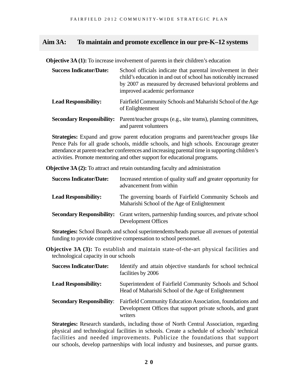## **Aim 3A: To maintain and promote excellence in our pre-K–12 systems**

**Objective 3A (1):** To increase involvement of parents in their children's education

| <b>Success Indicator/Date:</b>   | School officials indicate that parental involvement in their<br>child's education in and out of school has noticeably increased<br>by 2007 as measured by decreased behavioral problems and<br>improved academic performance |
|----------------------------------|------------------------------------------------------------------------------------------------------------------------------------------------------------------------------------------------------------------------------|
| <b>Lead Responsibility:</b>      | Fairfield Community Schools and Maharishi School of the Age<br>of Enlightenment                                                                                                                                              |
| <b>Secondary Responsibility:</b> | Parent/teacher groups (e.g., site teams), planning committees,<br>and parent volunteers                                                                                                                                      |

**Strategies:** Expand and grow parent education programs and parent/teacher groups like Pence Pals for all grade schools, middle schools, and high schools. Encourage greater attendance at parent-teacher conferences and increasing parental time in supporting children's activities. Promote mentoring and other support for educational programs.

**Objective 3A (2):** To attract and retain outstanding faculty and administration

| <b>Success Indicator/Date:</b> | Increased retention of quality staff and greater opportunity for<br>advancement from within                                   |
|--------------------------------|-------------------------------------------------------------------------------------------------------------------------------|
| <b>Lead Responsibility:</b>    | The governing boards of Fairfield Community Schools and<br>Maharishi School of the Age of Enlightenment                       |
|                                | <b>Secondary Responsibility:</b> Grant writers, partnership funding sources, and private school<br><b>Development Offices</b> |

**Strategies:** School Boards and school superintendents/heads pursue all avenues of potential funding to provide competitive compensation to school personnel.

**Objective 3A (3):** To establish and maintain state-of-the-art physical facilities and technological capacity in our schools

| <b>Success Indicator/Date:</b>   | Identify and attain objective standards for school technical<br>facilities by 2006                                                   |
|----------------------------------|--------------------------------------------------------------------------------------------------------------------------------------|
| <b>Lead Responsibility:</b>      | Superintendent of Fairfield Community Schools and School<br>Head of Maharishi School of the Age of Enlightenment                     |
| <b>Secondary Responsibility:</b> | Fairfield Community Education Association, foundations and<br>Development Offices that support private schools, and grant<br>writers |

**Strategies:** Research standards, including those of North Central Association, regarding physical and technological facilities in schools. Create a schedule of schools' technical facilities and needed improvements. Publicize the foundations that support our schools, develop partnerships with local industry and businesses, and pursue grants.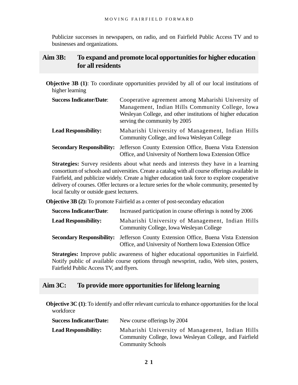Publicize successes in newspapers, on radio, and on Fairfield Public Access TV and to businesses and organizations.

## **Aim 3B: To expand and promote local opportunities for higher education for all residents**

**Objective 3B (1)**: To coordinate opportunities provided by all of our local institutions of higher learning

| <b>Success Indicator/Date:</b>   | Cooperative agreement among Maharishi University of<br>Management, Indian Hills Community College, Iowa<br>Wesleyan College, and other institutions of higher education<br>serving the community by 2005 |
|----------------------------------|----------------------------------------------------------------------------------------------------------------------------------------------------------------------------------------------------------|
| <b>Lead Responsibility:</b>      | Maharishi University of Management, Indian Hills<br>Community College, and Iowa Wesleyan College                                                                                                         |
| <b>Secondary Responsibility:</b> | Jefferson County Extension Office, Buena Vista Extension<br>Office, and University of Northern Iowa Extension Office                                                                                     |

**Strategies:** Survey residents about what needs and interests they have in a learning consortium of schools and universities. Create a catalog with all course offerings available in Fairfield, and publicize widely. Create a higher education task force to explore cooperative delivery of courses. Offer lectures or a lecture series for the whole community, presented by local faculty or outside guest lecturers.

**Objective 3B (2):** To promote Fairfield as a center of post-secondary education

| <b>Success Indicator/Date:</b> | Increased participation in course offerings is noted by 2006                                                                                          |
|--------------------------------|-------------------------------------------------------------------------------------------------------------------------------------------------------|
| <b>Lead Responsibility:</b>    | Maharishi University of Management, Indian Hills<br>Community College, Iowa Wesleyan College                                                          |
|                                | <b>Secondary Responsibility:</b> Jefferson County Extension Office, Buena Vista Extension<br>Office, and University of Northern Iowa Extension Office |

**Strategies:** Improve public awareness of higher educational opportunities in Fairfield. Notify public of available course options through newsprint, radio, Web sites, posters, Fairfield Public Access TV, and flyers.

## **Aim 3C: To provide more opportunities for lifelong learning**

**Objective 3C (1)**: To identify and offer relevant curricula to enhance opportunities for the local workforce

| <b>Success Indicator/Date:</b><br>New course offerings by 2004 |                                                         |
|----------------------------------------------------------------|---------------------------------------------------------|
| <b>Lead Responsibility:</b>                                    | Maharishi University of Management, Indian Hills        |
| <b>Community Schools</b>                                       | Community College, Iowa Wesleyan College, and Fairfield |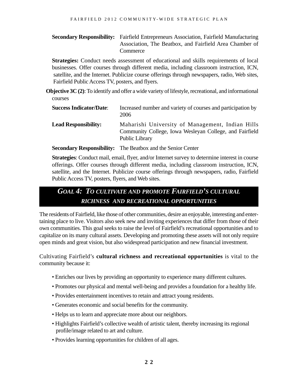**Secondary Responsibility:** Fairfield Entrepreneurs Association, Fairfield Manufacturing Association, The Beatbox, and Fairfield Area Chamber of **Commerce** 

**Strategies:** Conduct needs assessment of educational and skills requirements of local businesses. Offer courses through different media, including classroom instruction, ICN, satellite, and the Internet. Publicize course offerings through newspapers, radio, Web sites, Fairfield Public Access TV, posters, and flyers.

**Objective 3C (2)**: To identify and offer a wide variety of lifestyle, recreational, and informational courses

| <b>Success Indicator/Date:</b> | Increased number and variety of courses and participation by<br>2006                                                          |
|--------------------------------|-------------------------------------------------------------------------------------------------------------------------------|
| <b>Lead Responsibility:</b>    | Maharishi University of Management, Indian Hills<br>Community College, Iowa Wesleyan College, and Fairfield<br>Public Library |

**Secondary Responsibility:** The Beatbox and the Senior Center

**Strategies**: Conduct mail, email, flyer, and/or Internet survey to determine interest in course offerings. Offer courses through different media, including classroom instruction, ICN, satellite, and the Internet. Publicize course offerings through newspapers, radio, Fairfield Public Access TV, posters, flyers, and Web sites.

# *GOAL 4: TO CULTIVATE AND PROMOTE FAIRFIELD'S CULTURAL RICHNESS AND RECREATIONAL OPPORTUNITIES*

The residents of Fairfield, like those of other communities, desire an enjoyable, interesting and entertaining place to live. Visitors also seek new and inviting experiences that differ from those of their own communities. This goal seeks to raise the level of Fairfield's recreational opportunities and to capitalize on its many cultural assets. Developing and promoting these assets will not only require open minds and great vision, but also widespread participation and new financial investment.

Cultivating Fairfield's **cultural richness and recreational opportunities** is vital to the community because it:

- Enriches our lives by providing an opportunity to experience many different cultures.
- Promotes our physical and mental well-being and provides a foundation for a healthy life.
- Provides entertainment incentives to retain and attract young residents.
- Generates economic and social benefits for the community.
- Helps us to learn and appreciate more about our neighbors.
- Highlights Fairfield's collective wealth of artistic talent, thereby increasing its regional profile/image related to art and culture.
- Provides learning opportunities for children of all ages.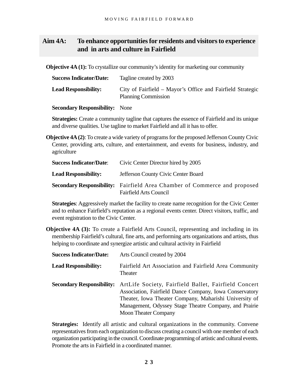## **Aim 4A: To enhance opportunities for residents and visitors to experience and in arts and culture in Fairfield**

**Objective 4A (1):** To crystallize our community's identity for marketing our community

| <b>Success Indicator/Date:</b>        | Tagline created by 2003                                                                  |
|---------------------------------------|------------------------------------------------------------------------------------------|
| <b>Lead Responsibility:</b>           | City of Fairfield – Mayor's Office and Fairfield Strategic<br><b>Planning Commission</b> |
| <b>Secondary Responsibility:</b> None |                                                                                          |

**Strategies:** Create a community tagline that captures the essence of Fairfield and its unique and diverse qualities. Use tagline to market Fairfield and all it has to offer.

**Objective 4A(2):** To create a wide variety of programs for the proposed Jefferson County Civic Center, providing arts, culture, and entertainment, and events for business, industry, and agriculture

| <b>Success Indicator/Date:</b> | Civic Center Director hired by 2005                                                                               |
|--------------------------------|-------------------------------------------------------------------------------------------------------------------|
| <b>Lead Responsibility:</b>    | Jefferson County Civic Center Board                                                                               |
|                                | <b>Secondary Responsibility:</b> Fairfield Area Chamber of Commerce and proposed<br><b>Fairfield Arts Council</b> |

**Strategies**: Aggressively market the facility to create name recognition for the Civic Center and to enhance Fairfield's reputation as a regional events center. Direct visitors, traffic, and event registration to the Civic Center.

**Objective 4A (3):** To create a Fairfield Arts Council, representing and including in its membership Fairfield's cultural, fine arts, and performing arts organizations and artists, thus helping to coordinate and synergize artistic and cultural activity in Fairfield

| <b>Success Indicator/Date:</b>   | Arts Council created by 2004                                                                                                                                                                                                                                       |
|----------------------------------|--------------------------------------------------------------------------------------------------------------------------------------------------------------------------------------------------------------------------------------------------------------------|
| <b>Lead Responsibility:</b>      | Fairfield Art Association and Fairfield Area Community<br>Theater                                                                                                                                                                                                  |
| <b>Secondary Responsibility:</b> | ArtLife Society, Fairfield Ballet, Fairfield Concert<br>Association, Fairfield Dance Company, Iowa Conservatory<br>Theater, Iowa Theater Company, Maharishi University of<br>Management, Odyssey Stage Theatre Company, and Prairie<br><b>Moon Theater Company</b> |

**Strategies:** Identify all artistic and cultural organizations in the community. Convene representatives from each organization to discuss creating a council with one member of each organization participating in the council. Coordinate programming of artistic and cultural events. Promote the arts in Fairfield in a coordinated manner.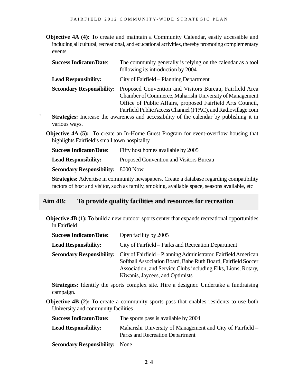**Objective 4A (4):** To create and maintain a Community Calendar, easily accessible and including all cultural, recreational, and educational activities, thereby promoting complementary events

| <b>Success Indicator/Date:</b>   | The community generally is relying on the calendar as a tool<br>following its introduction by 2004                                                                                                                                               |
|----------------------------------|--------------------------------------------------------------------------------------------------------------------------------------------------------------------------------------------------------------------------------------------------|
| <b>Lead Responsibility:</b>      | City of Fairfield – Planning Department                                                                                                                                                                                                          |
| <b>Secondary Responsibility:</b> | Proposed Convention and Visitors Bureau, Fairfield Area<br>Chamber of Commerce, Maharishi University of Management<br>Office of Public Affairs, proposed Fairfield Arts Council,<br>Fairfield Public Access Channel (FPAC), and Radiovillage.com |
|                                  | <b>Strategies:</b> Increase the awareness and accessibility of the calendar by publishing it in                                                                                                                                                  |

**Strategies:** Increase the awareness and accessibility of the calendar by publishing it in various ways.

**Objective 4A (5):** To create an In-Home Guest Program for event-overflow housing that highlights Fairfield's small town hospitality

| <b>Success Indicator/Date:</b>            | Fifty host homes available by 2005             |  |  |  |
|-------------------------------------------|------------------------------------------------|--|--|--|
| <b>Lead Responsibility:</b>               | <b>Proposed Convention and Visitors Bureau</b> |  |  |  |
| <b>Secondary Responsibility:</b> 8000 Now |                                                |  |  |  |

**Strategies:** Advertise in community newspapers. Create a database regarding compatibility factors of host and visitor, such as family, smoking, available space, seasons available, etc

## **Aim 4B: To provide quality facilities and resources for recreation**

**Objective 4B (1):** To build a new outdoor sports center that expands recreational opportunities in Fairfield

| <b>Success Indicator/Date:</b>   | Open facility by 2005                                                                                                                                                                                                               |
|----------------------------------|-------------------------------------------------------------------------------------------------------------------------------------------------------------------------------------------------------------------------------------|
| <b>Lead Responsibility:</b>      | City of Fairfield – Parks and Recreation Department                                                                                                                                                                                 |
| <b>Secondary Responsibility:</b> | City of Fairfield – Planning Administrator, Fairfield American<br>Softball Association Board, Babe Ruth Board, Fairfield Soccer<br>Association, and Service Clubs including Elks, Lions, Rotary,<br>Kiwanis, Jaycees, and Optimists |

**Strategies:** Identify the sports complex site. Hire a designer. Undertake a fundraising campaign.

**Objective 4B (2):** To create a community sports pass that enables residents to use both University and community facilities

| <b>Success Indicator/Date:</b>        | The sports pass is available by 2004                                                          |
|---------------------------------------|-----------------------------------------------------------------------------------------------|
| <b>Lead Responsibility:</b>           | Maharishi University of Management and City of Fairfield –<br>Parks and Recreation Department |
| <b>Secondary Responsibility:</b> None |                                                                                               |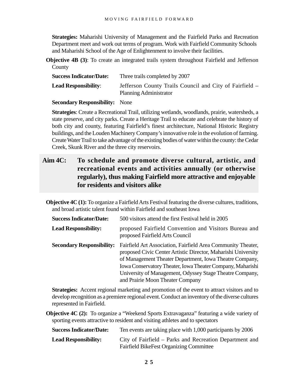**Strategies:** Maharishi University of Management and the Fairfield Parks and Recreation Department meet and work out terms of program. Work with Fairfield Community Schools and Maharishi School of the Age of Enlightenment to involve their facilities.

**Objective 4B (3)**: To create an integrated trails system throughout Fairfield and Jefferson **County** 

| <b>Success Indicator/Date:</b> | Three trails completed by 2007                                                    |
|--------------------------------|-----------------------------------------------------------------------------------|
| <b>Lead Responsibility:</b>    | Jefferson County Trails Council and City of Fairfield –<br>Planning Administrator |

#### **Secondary Responsibility:** None

**Strategies**: Create a Recreational Trail, utilizing wetlands, woodlands, prairie, watersheds, a state preserve, and city parks. Create a Heritage Trail to educate and celebrate the history of both city and county, featuring Fairfield's finest architecture, National Historic Registry buildings, and the Louden Machinery Company's innovative role in the evolution of farming. Create Water Trail to take advantage of the existing bodies of water within the county: the Cedar Creek, Skunk River and the three city reservoirs.

# **Aim 4C: To schedule and promote diverse cultural, artistic, and recreational events and activities annually (or otherwise regularly), thus making Fairfield more attractive and enjoyable for residents and visitors alike**

**Objective 4C (1):** To organize a Fairfield Arts Festival featuring the diverse cultures, traditions, and broad artistic talent found within Fairfield and southeast Iowa

| <b>Success Indicator/Date:</b>   | 500 visitors attend the first Festival held in 2005                                                                                                                                                                                                                                                                                                    |
|----------------------------------|--------------------------------------------------------------------------------------------------------------------------------------------------------------------------------------------------------------------------------------------------------------------------------------------------------------------------------------------------------|
| <b>Lead Responsibility:</b>      | proposed Fairfield Convention and Visitors Bureau and<br>proposed Fairfield Arts Council                                                                                                                                                                                                                                                               |
| <b>Secondary Responsibility:</b> | Fairfield Art Association, Fairfield Area Community Theater,<br>proposed Civic Center Artistic Director, Maharishi University<br>of Management Theater Department, Iowa Theatre Company,<br>Iowa Conservatory Theater, Iowa Theater Company, Maharishi<br>University of Management, Odyssey Stage Theatre Company,<br>and Prairie Moon Theater Company |

**Strategies:** Accent regional marketing and promotion of the event to attract visitors and to develop recognition as a premiere regional event. Conduct an inventory of the diverse cultures represented in Fairfield.

**Objective 4C (2):** To organize a "Weekend Sports Extravaganza" featuring a wide variety of sporting events attractive to resident and visiting athletes and to spectators

| <b>Success Indicator/Date:</b> | Ten events are taking place with 1,000 participants by 2006                                               |
|--------------------------------|-----------------------------------------------------------------------------------------------------------|
| <b>Lead Responsibility:</b>    | City of Fairfield – Parks and Recreation Department and<br><b>Fairfield BikeFest Organizing Committee</b> |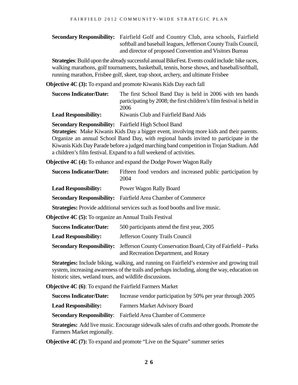**Secondary Responsibility:** Fairfield Golf and Country Club, area schools, Fairfield softball and baseball leagues, Jefferson County Trails Council, and director of proposed Convention and Visitors Bureau

**Strategies**: Build upon the already successful annual BikeFest. Events could include: bike races, walking marathons, golf tournaments, basketball, tennis, horse shows, and baseball/softball, running marathon, Frisbee golf, skeet, trap shoot, archery, and ultimate Frisbee

**Objective 4C (3):** To expand and promote Kiwanis Kids Day each fall

| <b>Success Indicator/Date:</b>                       | The first School Band Day is held in 2006 with ten bands                                                     |
|------------------------------------------------------|--------------------------------------------------------------------------------------------------------------|
|                                                      | participating by 2008; the first children's film festival is held in                                         |
|                                                      | 2006                                                                                                         |
| $\mathbf{I}$ and $\mathbf{D}$ concret $\mathbf{L}$ : | $U_{\text{reco}}$ $C_{\text{lab}}$ and $\Gamma_{\text{c}}$ $\mathcal{L}_{\text{a}}$ and $\Lambda_{\text{b}}$ |

**Lead Responsibility:** Kiwanis Club and Fairfield Band Aids

**Secondary Responsibility:** Fairfield High School Band

**Strategies**: Make Kiwanis Kids Day a bigger event, involving more kids and their parents. Organize an annual School Band Day, with regional bands invited to participate in the Kiwanis Kids Day Parade before a judged marching band competition in Trojan Stadium. Add a children's film festival. Expand to a full weekend of activities.

**Objective 4C (4):** To enhance and expand the Dodge Power Wagon Rally

| <b>Success Indicator/Date:</b> | Fifteen food vendors and increased public participation by |
|--------------------------------|------------------------------------------------------------|
|                                | 2004                                                       |
|                                |                                                            |

**Lead Responsibility:** Power Wagon Rally Board

**Secondary Responsibility:** Fairfield Area Chamber of Commerce

**Strategies:** Provide additional services such as food booths and live music.

**Objective 4C (5):** To organize an Annual Trails Festival

| <b>Success Indicator/Date:</b> | 500 participants attend the first year, 2005                                                    |
|--------------------------------|-------------------------------------------------------------------------------------------------|
| <b>Lead Responsibility:</b>    | <b>Jefferson County Trails Council</b>                                                          |
|                                | <b>Secondary Responsibility:</b> Jefferson County Conservation Board, City of Fairfield – Parks |
|                                | and Recreation Department, and Rotary                                                           |

**Strategies:** Include biking, walking, and running on Fairfield's extensive and growing trail system, increasing awareness of the trails and perhaps including, along the way, education on historic sites, wetland tours, and wildlife discussions.

**Objective 4C (6)**: To expand the Fairfield Farmers Market

| <b>Success Indicator/Date:</b> |  |  |  | Increase vendor participation by 50% per year through 2005 |
|--------------------------------|--|--|--|------------------------------------------------------------|
|--------------------------------|--|--|--|------------------------------------------------------------|

**Lead Responsibility:** Farmers Market Advisory Board

**Secondary Responsibility**: Fairfield Area Chamber of Commerce

**Strategies:** Add live music. Encourage sidewalk sales of crafts and other goods. Promote the Farmers Market regionally.

**Objective 4C (7):** To expand and promote "Live on the Square" summer series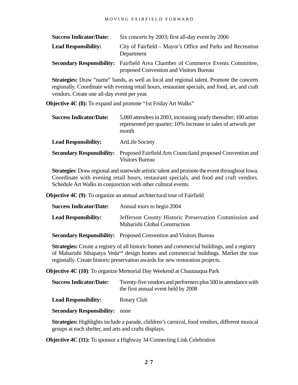#### MOVING FAIRFIELD FORWARD

| <b>Success Indicator/Date:</b> | Six concerts by 2003; first all-day event by 2006                                                                                |
|--------------------------------|----------------------------------------------------------------------------------------------------------------------------------|
| <b>Lead Responsibility:</b>    | City of Fairfield – Mayor's Office and Parks and Recreation<br>Department                                                        |
|                                | <b>Secondary Responsibility:</b> Fairfield Area Chamber of Commerce Events Committee,<br>proposed Convention and Visitors Bureau |

**Strategies:** Draw "name" bands, as well as local and regional talent. Promote the concerts regionally. Coordinate with evening retail hours, restaurant specials, and food, art, and craft vendors. Create one all-day event per year.

**Objective 4C (8):** To expand and promote "1st Friday Art Walks"

| <b>Success Indicator/Date:</b> | 5,000 attendees in 2003, increasing yearly thereafter; 100 artists<br>represented per quarter; 10% increase in sales of artwork per<br>month |
|--------------------------------|----------------------------------------------------------------------------------------------------------------------------------------------|
| <b>Lead Responsibility:</b>    | <b>ArtLife Society</b>                                                                                                                       |
|                                | <b>Secondary Responsibility:</b> Proposed Fairfield Arts Council and proposed Convention and<br><b>Visitors Bureau</b>                       |

**Strategies**: Draw regional and statewide artistic talent and promote the event throughout Iowa. Coordinate with evening retail hours, restaurant specials, and food and craft vendors. Schedule Art Walks in conjunction with other cultural events.

**Objective 4C (9)**: To organize an annual architectural tour of Fairfield

| <b>Success Indicator/Date:</b> | Annual tours to begin 2004                                                             |
|--------------------------------|----------------------------------------------------------------------------------------|
| <b>Lead Responsibility:</b>    | Jefferson County Historic Preservation Commission and<br>Maharishi Global Construction |
|                                | <b>Secondary Responsibility:</b> Proposed Convention and Visitors Bureau               |

**Strategies:** Create a registry of all historic homes and commercial buildings, and a registry of Maharishi Sthapatya Veda<sup>SM</sup> design homes and commercial buildings. Market the tour regionally. Create historic preservation awards for new restoration projects.

**Objective 4C (10)**: To organize Memorial Day Weekend at Chautauqua Park

| <b>Success Indicator/Date:</b> | Twenty-five vendors and performers plus 500 in attendance with |
|--------------------------------|----------------------------------------------------------------|
|                                | the first annual event held by 2008                            |
|                                |                                                                |

| <b>Lead Responsibility:</b> | <b>Rotary Club</b> |
|-----------------------------|--------------------|
|-----------------------------|--------------------|

**Secondary Responsibility:** none

**Strategies:** Highlights include a parade, children's carnival, food vendors, different musical groups at each shelter, and arts and crafts displays.

**Objective 4C (11):** To sponsor a Highway 34 Connecting Link Celebration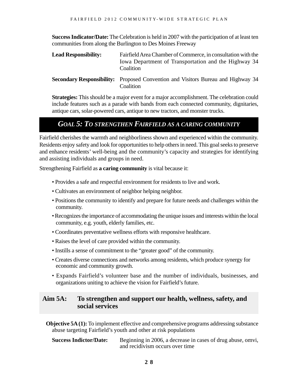**Success Indicator/Date:** The Celebration is held in 2007 with the participation of at least ten communities from along the Burlington to Des Moines Freeway

| <b>Lead Responsibility:</b> | Fairfield Area Chamber of Commerce, in consultation with the                                         |
|-----------------------------|------------------------------------------------------------------------------------------------------|
|                             | Iowa Department of Transportation and the Highway 34<br>Coalition                                    |
|                             | <b>Secondary Responsibility:</b> Proposed Convention and Visitors Bureau and Highway 34<br>Coalition |

**Strategies:** This should be a major event for a major accomplishment. The celebration could include features such as a parade with bands from each connected community, dignitaries, antique cars, solar-powered cars, antique to new tractors, and monster trucks.

# *GOAL 5: TO STRENGTHEN FAIRFIELD AS A CARING COMMUNITY*

Fairfield cherishes the warmth and neighborliness shown and experienced within the community. Residents enjoy safety and look for opportunities to help others in need. This goal seeks to preserve and enhance residents' well-being and the community's capacity and strategies for identifying and assisting individuals and groups in need.

Strengthening Fairfield as **a caring community** is vital because it:

- Provides a safe and respectful environment for residents to live and work.
- Cultivates an environment of neighbor helping neighbor.
- Positions the community to identify and prepare for future needs and challenges within the community.
- Recognizes the importance of accommodating the unique issues and interests within the local community, e.g. youth, elderly families, etc.
- Coordinates preventative wellness efforts with responsive healthcare.
- Raises the level of care provided within the community.
- Instills a sense of commitment to the "greater good" of the community.
- Creates diverse connections and networks among residents, which produce synergy for economic and community growth.
- Expands Fairfield's volunteer base and the number of individuals, businesses, and organizations uniting to achieve the vision for Fairfield's future.

## **Aim 5A: To strengthen and support our health, wellness, safety, and social services**

**Objective 5A (1):** To implement effective and comprehensive programs addressing substance abuse targeting Fairfield's youth and other at risk populations

| <b>Success Indictor/Date:</b> | Beginning in 2006, a decrease in cases of drug abuse, omvi, |
|-------------------------------|-------------------------------------------------------------|
|                               | and recidivism occurs over time                             |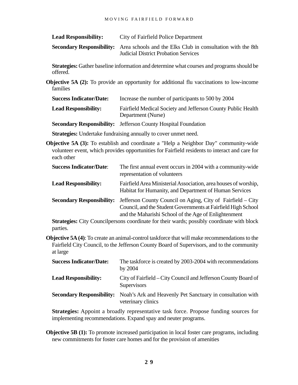| <b>Lead Responsibility:</b> | City of Fairfield Police Department |
|-----------------------------|-------------------------------------|
|-----------------------------|-------------------------------------|

**Secondary Responsibility:** Area schools and the Elks Club in consultation with the 8th Judicial District Probation Services

**Strategies:** Gather baseline information and determine what courses and programs should be offered.

**Objective 5A (2):** To provide an opportunity for additional flu vaccinations to low-income families

| <b>Success Indicator/Date:</b> | Increase the number of participants to 500 by 2004                                 |
|--------------------------------|------------------------------------------------------------------------------------|
| <b>Lead Responsibility:</b>    | Fairfield Medical Society and Jefferson County Public Health<br>Department (Nurse) |

**Secondary Responsibility:** Jefferson County Hospital Foundation

**Strategies:** Undertake fundraising annually to cover unmet need.

**Objective 5A (3):** To establish and coordinate a "Help a Neighbor Day" community-wide volunteer event, which provides opportunities for Fairfield residents to interact and care for each other

| <b>Success Indicator/Date:</b>   | The first annual event occurs in 2004 with a community-wide<br>representation of volunteers                                                                                          |
|----------------------------------|--------------------------------------------------------------------------------------------------------------------------------------------------------------------------------------|
| <b>Lead Responsibility:</b>      | Fairfield Area Ministerial Association, area houses of worship,<br>Habitat for Humanity, and Department of Human Services                                                            |
| <b>Secondary Responsibility:</b> | Jefferson County Council on Aging, City of Fairfield – City<br>Council, and the Student Governments at Fairfield High School<br>and the Maharishi School of the Age of Enlightenment |

**Strategies:** City Councilpersons coordinate for their wards; possibly coordinate with block parties.

**Objective 5A (4)**: To create an animal-control taskforce that will make recommendations to the Fairfield City Council, to the Jefferson County Board of Supervisors, and to the community at large

| <b>Success Indicator/Date:</b>   | The taskforce is created by 2003-2004 with recommendations<br>by $2004$              |
|----------------------------------|--------------------------------------------------------------------------------------|
| <b>Lead Responsibility:</b>      | City of Fairfield – City Council and Jefferson County Board of<br><b>Supervisors</b> |
| <b>Secondary Responsibility:</b> | Noah's Ark and Heavenly Pet Sanctuary in consultation with<br>veterinary clinics     |

**Strategies:** Appoint a broadly representative task force. Propose funding sources for implementing recommendations. Expand spay and neuter programs.

**Objective 5B (1):** To promote increased participation in local foster care programs, including new commitments for foster care homes and for the provision of amenities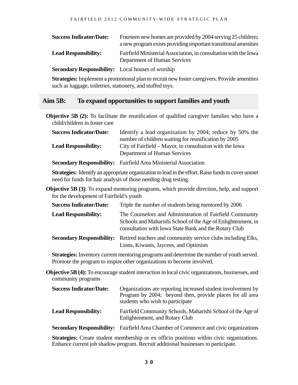| <b>Success Indicator/Date:</b>                           | Fourteen new homes are provided by 2004 serving 25 children;                                     |
|----------------------------------------------------------|--------------------------------------------------------------------------------------------------|
|                                                          | a new program exists providing important transitional amenities                                  |
| <b>Lead Responsibility:</b>                              | Fairfield Ministerial Association, in consultation with the Iowa<br>Department of Human Services |
| <b>Secondary Responsibility:</b> Local houses of worship |                                                                                                  |

**Strategies:**Implement a promotional plan to recruit new foster caregivers. Provide amenities such as luggage, toiletries, stationery, and stuffed toys.

### **Aim 5B: To expand opportunities to support families and youth**

**Objective 5B (2):** To facilitate the reunification of qualified caregiver families who have a child/children in foster care

| <b>Success Indicator/Date:</b> | Identify a lead organization by 2004; reduce by 50% the  |
|--------------------------------|----------------------------------------------------------|
|                                | number of children waiting for reunification by 2005     |
| <b>Lead Responsibility:</b>    | City of Fairfield – Mayor, in consultation with the Iowa |
|                                | Department of Human Services                             |

**Secondary Responsibility:** Fairfield Area Ministerial Association

**Strategies:** Identify an appropriate organization to lead in the effort. Raise funds to cover unmet need for funds for hair analysis of those needing drug testing.

**Objective 5B (3):** To expand mentoring programs, which provide direction, help, and support for the development of Fairfield's youth

| <b>Success Indicator/Date:</b> | Triple the number of students being mentored by 2006                                                                                                                              |
|--------------------------------|-----------------------------------------------------------------------------------------------------------------------------------------------------------------------------------|
| <b>Lead Responsibility:</b>    | The Counselors and Administration of Fairfield Community<br>Schools and Maharishi School of the Age of Enlightenment, in<br>consultation with Iowa State Bank and the Rotary Club |
|                                | <b>Secondary Responsibility:</b> Retired teachers and community service clubs including Elks,<br>Lions, Kiwanis, Jaycees, and Optimists                                           |

**Strategies:** Inventory current mentoring programs and determine the number of youth served. Promote the program to inspire other organizations to become involved.

**Objective 5B (4):** To encourage student interaction in local civic organizations, businesses, and community programs

| <b>Success Indicator/Date:</b>   | Organizations are reporting increased student involvement by<br>Program by 2004; beyond then, provide places for all area<br>students who wish to participate |
|----------------------------------|---------------------------------------------------------------------------------------------------------------------------------------------------------------|
| <b>Lead Responsibility:</b>      | Fairfield Community Schools, Maharishi School of the Age of<br>Enlightenment, and Rotary Club                                                                 |
| <b>Secondary Responsibility:</b> | Fairfield Area Chamber of Commerce and civic organizations                                                                                                    |

**Strategies:** Create student membership or ex officio positions within civic organizations. Enhance current job shadow program. Recruit additional businesses to participate.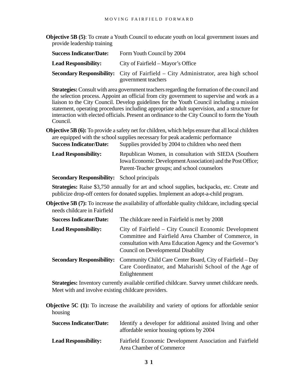**Objective 5B (5):** To create a Youth Council to educate youth on local government issues and provide leadership training

| <b>Success Indicator/Date:</b> | Form Youth Council by 2004                                                                                       |
|--------------------------------|------------------------------------------------------------------------------------------------------------------|
| <b>Lead Responsibility:</b>    | City of Fairfield – Mayor's Office                                                                               |
|                                | <b>Secondary Responsibility:</b> City of Fairfield – City Administrator, area high school<br>government teachers |

**Strategies:**Consult with area government teachers regarding the formation of the council and the selection process. Appoint an official from city government to supervise and work as a liaison to the City Council. Develop guidelines for the Youth Council including a mission statement, operating procedures including appropriate adult supervision, and a structure for interaction with elected officials. Present an ordinance to the City Council to form the Youth Council.

**Objective 5B (6):** To provide a safety net for children, which helps ensure that all local children are equipped with the school supplies necessary for peak academic performance **Success Indicator/Date:** Supplies provided by 2004 to children who need them

| <b>Lead Responsibility:</b> | Republican Women, in consultation with SIEDA (Southern)     |
|-----------------------------|-------------------------------------------------------------|
|                             | Iowa Economic Development Association) and the Post Office; |
|                             | Parent-Teacher groups; and school counselors                |

**Secondary Responsibility:** School principals

**Strategies:** Raise \$3,750 annually for art and school supplies, backpacks, etc. Create and publicize drop-off centers for donated supplies. Implement an adopt-a-child program.

**Objective 5B (7):** To increase the availability of affordable quality childcare, including special needs childcare in Fairfield

| <b>Success Indicator/Date:</b> | The childcare need in Fairfield is met by 2008                                                                                                                                                                     |
|--------------------------------|--------------------------------------------------------------------------------------------------------------------------------------------------------------------------------------------------------------------|
| <b>Lead Responsibility:</b>    | City of Fairfield – City Council Economic Development<br>Committee and Fairfield Area Chamber of Commerce, in<br>consultation with Area Education Agency and the Governor's<br>Council on Developmental Disability |
|                                | <b>Secondary Responsibility:</b> Community Child Care Center Board, City of Fairfield – Day                                                                                                                        |

Care Coordinator, and Maharishi School of the Age of Enlightenment **Strategies:** Inventory currently available certified childcare. Survey unmet childcare needs.

Meet with and involve existing childcare providers.

**Objective 5C (1):** To increase the availability and variety of options for affordable senior housing

| <b>Success Indicator/Date:</b> | Identify a developer for additional assisted living and other<br>affordable senior housing options by 2004 |
|--------------------------------|------------------------------------------------------------------------------------------------------------|
| <b>Lead Responsibility:</b>    | Fairfield Economic Development Association and Fairfield<br>Area Chamber of Commerce                       |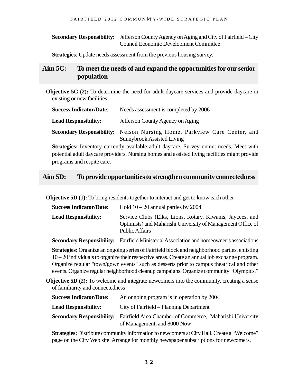**Secondary Responsibility:** Jefferson County Agency on Aging and City of Fairfield – City Council Economic Development Committee

**Strategies**: Update needs assessment from the previous housing survey.

## **Aim 5C: To meet the needs of and expand the opportunities for our senior population**

**Objective 5C (2):** To determine the need for adult daycare services and provide daycare in existing or new facilities

| <b>Success Indicator/Date:</b> | Needs assessment is completed by 2006                                                                         |
|--------------------------------|---------------------------------------------------------------------------------------------------------------|
| <b>Lead Responsibility:</b>    | Jefferson County Agency on Aging                                                                              |
|                                | <b>Secondary Responsibility:</b> Nelson Nursing Home, Parkview Care Center, and<br>Sunnybrook Assisted Living |

**Strategies:** Inventory currently available adult daycare. Survey unmet needs. Meet with potential adult daycare providers. Nursing homes and assisted living facilities might provide programs and respite care.

## **Aim 5D: To provide opportunities to strengthen community connectedness**

**Objective 5D (1):** To bring residents together to interact and get to know each other

| <b>Success Indicator/Date:</b> | Hold $10 - 20$ annual parties by 2004                                                                                    |
|--------------------------------|--------------------------------------------------------------------------------------------------------------------------|
| <b>Lead Responsibility:</b>    | Service Clubs (Elks, Lions, Rotary, Kiwanis, Jaycees, and<br>Optimists) and Maharishi University of Management Office of |
|                                | <b>Public Affairs</b>                                                                                                    |

**Secondary Responsibility:** Fairfield Ministerial Association and homeowner's associations

**Strategies:** Organize an ongoing series of Fairfield block and neighborhood parties, enlisting 10 – 20 individuals to organize their respective areas. Create an annual job exchange program. Organize regular "town/gown events" such as desserts prior to campus theatrical and other events. Organize regular neighborhood cleanup campaigns. Organize community "Olympics."

**Objective 5D (2):** To welcome and integrate newcomers into the community, creating a sense of familiarity and connectedness

| <b>Success Indicator/Date:</b> | An ongoing program is in operation by 2004                                                                               |
|--------------------------------|--------------------------------------------------------------------------------------------------------------------------|
| <b>Lead Responsibility:</b>    | City of Fairfield – Planning Department                                                                                  |
|                                | <b>Secondary Responsibility:</b> Fairfield Area Chamber of Commerce, Maharishi University<br>of Management, and 8000 Now |

**Strategies:** Distribute community information to newcomers at City Hall. Create a "Welcome" page on the City Web site. Arrange for monthly newspaper subscriptions for newcomers.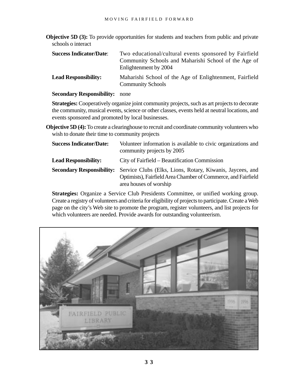**Objective 5D (3):** To provide opportunities for students and teachers from public and private schools o interact

| <b>Success Indicator/Date:</b> | Two educational/cultural events sponsored by Fairfield<br>Community Schools and Maharishi School of the Age of<br>Enlightenment by 2004 |
|--------------------------------|-----------------------------------------------------------------------------------------------------------------------------------------|
| <b>Lead Responsibility:</b>    | Maharishi School of the Age of Enlightenment, Fairfield<br><b>Community Schools</b>                                                     |

#### **Secondary Responsibility:** none

**Strategies:** Cooperatively organize joint community projects, such as art projects to decorate the community, musical events, science or other classes, events held at neutral locations, and events sponsored and promoted by local businesses.

**Objective 5D (4):** To create a clearinghouse to recruit and coordinate community volunteers who wish to donate their time to community projects

| <b>Success Indicator/Date:</b>   | Volunteer information is available to civic organizations and<br>community projects by 2005                                                          |
|----------------------------------|------------------------------------------------------------------------------------------------------------------------------------------------------|
| <b>Lead Responsibility:</b>      | City of Fairfield – Beautification Commission                                                                                                        |
| <b>Secondary Responsibility:</b> | Service Clubs (Elks, Lions, Rotary, Kiwanis, Jaycees, and<br>Optimists), Fairfield Area Chamber of Commerce, and Fairfield<br>area houses of worship |

**Strategies:** Organize a Service Club Presidents Committee, or unified working group. Create a registry of volunteers and criteria for eligibility of projects to participate. Create a Web page on the city's Web site to promote the program, register volunteers, and list projects for which volunteers are needed. Provide awards for outstanding volunteerism.

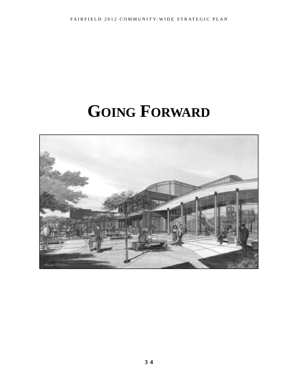# **GOING FORWARD**

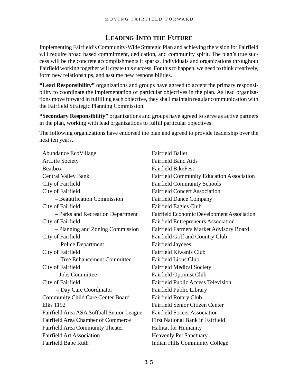# **LEADING INTO THE FUTURE**

Implementing Fairfield's Community-Wide Strategic Plan and achieving the vision for Fairfield will require broad based commitment, dedication, and community spirit. The plan's true success will be the concrete accomplishments it sparks. Individuals and organizations throughout Fairfield working together will create this success. For this to happen, we need to think creatively, form new relationships, and assume new responsibilities.

**"Lead Responsibility"** organizations and groups have agreed to accept the primary responsibility to coordinate the implementation of particular objectives in the plan. As lead organizations move forward in fulfilling each objective, they shall maintain regular communication with the Fairfield Strategic Planning Commission.

**"Secondary Responsibility"** organizations and groups have agreed to serve as active partners in the plan, working with lead organizations to fulfill particular objectives.

The following organizations have endorsed the plan and agreed to provide leadership over the next ten years.

Abundance EcoVillage ArtLife Society Beatbox Central Valley Bank City of Fairfield City of Fairfield – Beautification Commission City of Fairfield – Parks and Recreation Department City of Fairfield – Planning and Zoning Commission City of Fairfield – Police Department City of Fairfield – Tree Enhancement Committee City of Fairfield – Jobs Committee City of Fairfield – Day Care Coordinator Community Child Care Center Board Elks 1192 Fairfield Area ASA Softball Senior League Fairfield Area Chamber of Commerce Fairfield Area Community Theater Fairfield Art Association Fairfield Babe Ruth

Fairfield Ballet Fairfield Band Aids Fairfield BikeFest Fairfield Community Education Association Fairfield Community Schools Fairfield Concert Association Fairfield Dance Company Fairfield Eagles Club Fairfield Economic Development Association Fairfield Entrepreneurs Association Fairfield Farmers Market Advisory Board Fairfield Golf and Country Club Fairfield Jaycees Fairfield Kiwanis Club Fairfield Lions Club Fairfield Medical Society Fairfield Optimist Club Fairfield Public Access Television Fairfield Public Library Fairfield Rotary Club Fairfield Senior Citizen Center Fairfield Soccer Association First National Bank in Fairfield Habitat for Humanity Heavenly Pet Sanctuary Indian Hills Community College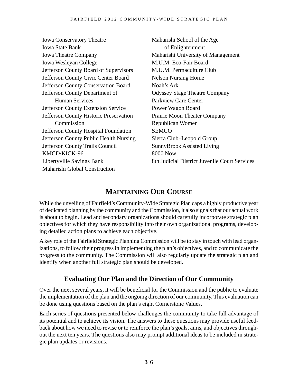Iowa Conservatory Theatre Iowa State Bank Iowa Theatre Company Iowa Wesleyan College Jefferson County Board of Supervisors Jefferson County Civic Center Board Jefferson County Conservation Board Jefferson County Department of Human Services Jefferson County Extension Service Jefferson County Historic Preservation Commission Jefferson County Hospital Foundation Jefferson County Public Health Nursing Jefferson County Trails Council KMCD/KICK-96 Libertyville Savings Bank Maharishi Global Construction

Maharishi School of the Age of Enlightenment Maharishi University of Management M.U.M. Eco-Fair Board M.U.M. Permaculture Club Nelson Nursing Home Noah's Ark Odyssey Stage Theatre Company Parkview Care Center Power Wagon Board Prairie Moon Theater Company Republican Women SEMCO Sierra Club–Leopold Group SunnyBrook Assisted Living 8000 Now 8th Judicial District Juvenile Court Services

# **MAINTAINING OUR COURSE**

While the unveiling of Fairfield's Community-Wide Strategic Plan caps a highly productive year of dedicated planning by the community and the Commission, it also signals that our actual work is about to begin. Lead and secondary organizations should carefully incorporate strategic plan objectives for which they have responsibility into their own organizational programs, developing detailed action plans to achieve each objective.

Akey role of the Fairfield Strategic Planning Commission will be to stay in touch with lead organizations, to follow their progress in implementing the plan's objectives, and to communicate the progress to the community. The Commission will also regularly update the strategic plan and identify when another full strategic plan should be developed.

# **Evaluating Our Plan and the Direction of Our Community**

Over the next several years, it will be beneficial for the Commission and the public to evaluate the implementation of the plan and the ongoing direction of our community. This evaluation can be done using questions based on the plan's eight Cornerstone Values.

Each series of questions presented below challenges the community to take full advantage of its potential and to achieve its vision. The answers to these questions may provide useful feedback about how we need to revise or to reinforce the plan's goals, aims, and objectives throughout the next ten years. The questions also may prompt additional ideas to be included in strategic plan updates or revisions.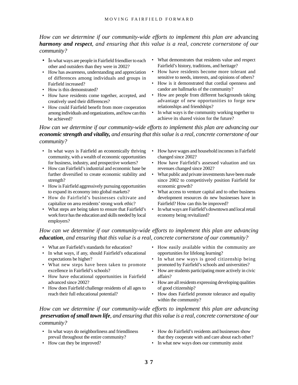*How can we determine if our community-wide efforts to implement this plan are* advancing *harmony and respect, and ensuring that this value is a real, concrete cornerstone of our community?*

- In what ways are people in Fairfield friendlier to each other and outsiders than they were in 2002?
- How has awareness, understanding and appreciation of differences among individuals and groups in Fairfield increased?
- How is this demonstrated?
- How have residents come together, accepted, and creatively used their differences?
- How could Fairfield benefit from more cooperation among individuals and organizations, and how can this be achieved?
- What demonstrates that residents value and respect Fairfield's history, traditions, and heritage?
- How have residents become more tolerant and sensitive to needs, interests, and opinions of others?
- How is it demonstrated that cordial openness and candor are hallmarks of the community?
- How are people from different backgrounds taking advantage of new opportunities to forge new relationships and friendships?
- In what ways is the community working together to achieve its shared vision for the future?

### *How can we determine if our community-wide efforts to implement this plan are advancing our economic strength and vitality, and ensuring that this value is a real, concrete cornerstone of our community?*

- In what ways is Fairfield an economically thriving community, with a wealth of economic opportunities for business, industry, and prospective workers?
- How can Fairfield's industrial and economic base be further diversified to create economic stability and strength?
- How is Fairfield aggressively pursuing opportunities to expand its economy into global markets?
- How do Fairfield's businesses cultivate and capitalize on area residents' strong work ethic?
- What steps are being taken to ensure that Fairfield's work force has the education and skills needed by local employers?
- How have wages and household incomes in Fairfield changed since 2002?
- How have Fairfield's assessed valuation and tax revenues changed since 2002?
- What public and private investments have been made since 2002 to competitively position Fairfield for economic growth?
- What access to venture capital and to other business development resources do new businesses have in Fairfield? How can this be improved?
- In what ways are Fairfield's downtown and local retail economy being revitalized?

### *How can we determine if our community-wide efforts to implement this plan are advancing education, and ensuring that this value is a real, concrete cornerstone of our community?*

- What are Fairfield's standards for education?
- In what ways, if any, should Fairfield's educational expectations be higher?
- What new steps have been taken to promote excellence in Fairfield's schools?
- How have educational opportunities in Fairfield advanced since 2002?
- How does Fairfield challenge residents of all ages to reach their full educational potential?
- How easily available within the community are opportunities for lifelong learning?
- In what new ways is good citizenship being promoted by Fairfield's schools and universities?
- How are students participating more actively in civic affairs?
- How are all residents expressing developing qualities of good citizenship?
- How does Fairfield promote tolerance and equality within the community?

#### *How can we determine if our community-wide efforts to implement this plan are advancing preservation of small town life, and ensuring that this value is a real, concrete cornerstone of our community?*

- In what ways do neighborliness and friendliness prevail throughout the entire community?
- How do Fairfield's residents and businesses show that they cooperate with and care about each other?

• How can they be improved?

• In what new ways does our community assist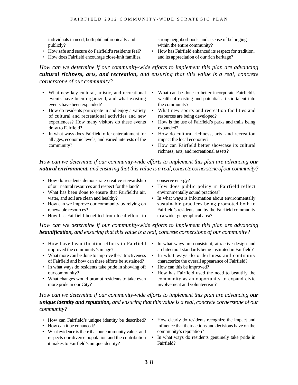individuals in need, both philanthropically and publicly?

• How safe and secure do Fairfield's residents feel?

• How does Fairfield encourage close-knit families,

*How can we determine if our community-wide efforts to implement this plan are advancing cultural richness, arts, and recreation, and ensuring that this value is a real, concrete cornerstone of our community?*

- What new key cultural, artistic, and recreational events have been organized, and what existing events have been expanded?
- How do residents participate in and enjoy a variety of cultural and recreational activities and new experiences? How many visitors do these events draw to Fairfield?
- In what ways does Fairfield offer entertainment for all ages, economic levels, and varied interests of the community?
- What can be done to better incorporate Fairfield's wealth of existing and potential artistic talent into the community?
- What new sports and recreation facilities and resources are being developed?
- How is the use of Fairfield's parks and trails being expanded?
- How do cultural richness, arts, and recreation impact the local economy?
- How can Fairfield better showcase its cultural richness, arts, and recreational assets?

• How does public policy in Fairfield reflect

• In what ways is information about environmentally sustainable practices being promoted both to Fairfield's residents and by the Fairfield community

environmentally sound practices?

to a wider geographical area?

#### *How can we determine if our community-wide efforts to implement this plan are advancing our natural environment, and ensuring that this value is a real, concrete cornerstone of our community?*

- How do residents demonstrate creative stewardship of our natural resources and respect for the land?
- What has been done to ensure that Fairfield's air, water, and soil are clean and healthy?
- How can we improve our community by relying on renewable resources?
- How has Fairfield benefited from local efforts to

*How can we determine if our community-wide efforts to implement this plan are advancing beautification, and ensuring that this value is a real, concrete cornerstone of our community?*

- How have beautification efforts in Fairfield improved the community's image?
- What more can be done to improve the attractiveness of Fairfield and how can these efforts be sustained?
- In what ways do residents take pride in showing off our community?
- What changes would prompt residents to take even more pride in our City?
- In what ways are consistent, attractive design and
- architectural standards being instituted in Fairfield? In what ways do orderliness and continuity
- characterize the overall appearance of Fairfield?
- How can this be improved?

conserve energy?

• How has Fairfield used the need to beautify the community as an opportunity to expand civic involvement and volunteerism?

*How can we determine if our community-wide efforts to implement this plan are advancing our unique identity and reputation, and ensuring that this value is a real, concrete cornerstone of our community?*

- How can Fairfield's unique identity be described?
- How can it be enhanced?
- What evidence is there that our community values and respects our diverse population and the contribution it makes to Fairfield's unique identity?
- How clearly do residents recognize the impact and influence that their actions and decisions have on the community's reputation?
- In what ways do residents genuinely take pride in Fairfield?

• How has Fairfield enhanced its respect for tradition, and its appreciation of our rich heritage?

strong neighborhoods, and a sense of belonging

within the entire community?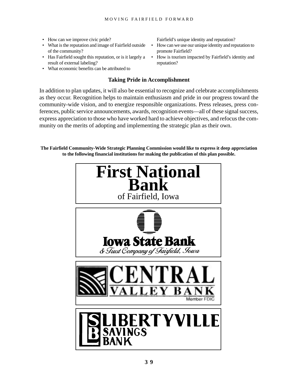- How can we improve civic pride?
- What is the reputation and image of Fairfield outside of the community?
- Has Fairfield sought this reputation, or is it largely a result of external labeling?
- What economic benefits can be attributed to

Fairfield's unique identity and reputation?

- How can we use our unique identity and reputation to promote Fairfield?
- How is tourism impacted by Fairfield's identity and reputation?

### **Taking Pride in Accomplishment**

In addition to plan updates, it will also be essential to recognize and celebrate accomplishments as they occur. Recognition helps to maintain enthusiasm and pride in our progress toward the community-wide vision, and to energize responsible organizations. Press releases, press conferences, public service announcements, awards, recognition events—all of these signal success, express appreciation to those who have worked hard to achieve objectives, and refocus the community on the merits of adopting and implementing the strategic plan as their own.

**The Fairfield Community-Wide Strategic Planning Commission would like to express it deep appreciation to the following financial institutions for making the publication of this plan possible.**

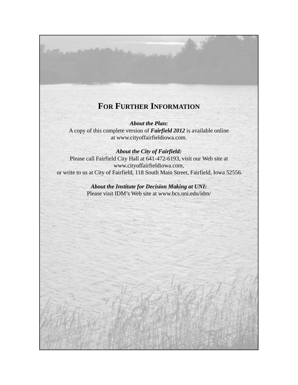# **FOR FURTHER INFORMATION**

*About the Plan:* A copy of this complete version of *Fairfield 2012* is available online at www.cityoffairfieldiowa.com.

### *About the City of Fairfield:*

Please call Fairfield City Hall at 641-472-6193, visit our Web site at www.cityoffairfieldiowa.com, or write to us at City of Fairfield, 118 South Main Street, Fairfield, Iowa 52556.

> *About the Institute for Decision Making at UNI:* Please visit IDM's Web site at www.bcs.uni.edu/idm/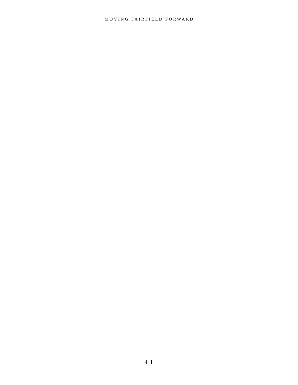#### MOVING FAIRFIELD FORWARD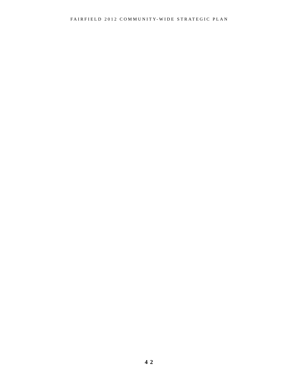#### FAIRFIELD 2012 COMMUNITY-WIDE STRATEGIC PLAN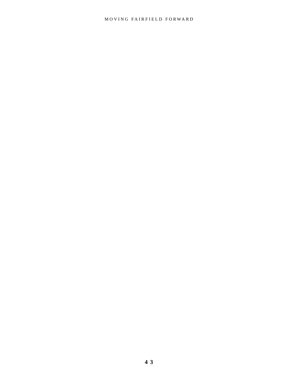#### MOVING FAIRFIELD FORWARD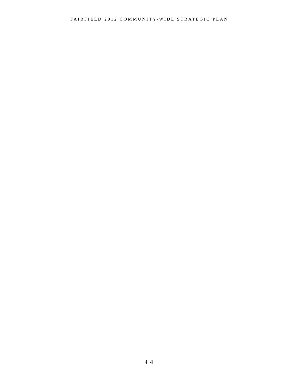#### FAIRFIELD 2012 COMMUNITY-WIDE STRATEGIC PLAN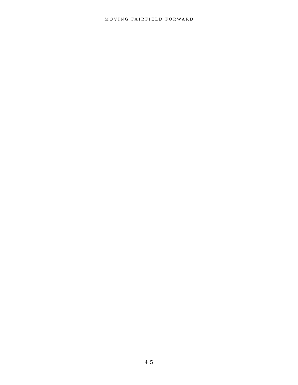#### MOVING FAIRFIELD FORWARD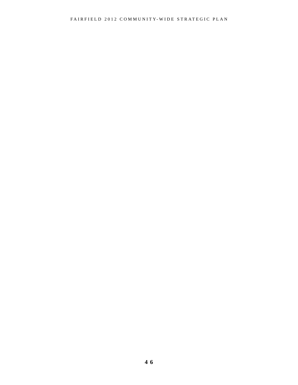#### FAIRFIELD 2012 COMMUNITY-WIDE STRATEGIC PLAN